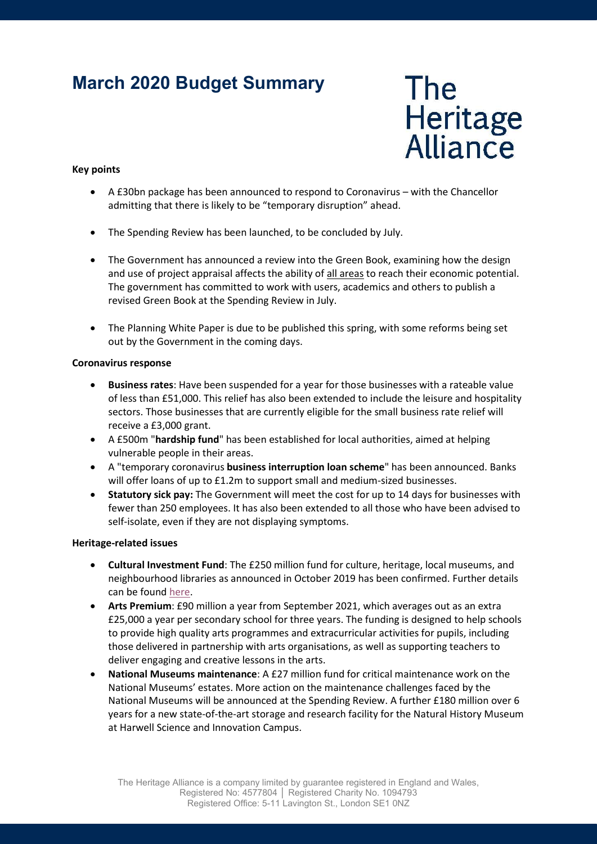# March 2020 Budget Summary



### Key points

- A £30bn package has been announced to respond to Coronavirus with the Chancellor admitting that there is likely to be "temporary disruption" ahead.
- The Spending Review has been launched, to be concluded by July.
- The Government has announced a review into the Green Book, examining how the design and use of project appraisal affects the ability of all areas to reach their economic potential. The government has committed to work with users, academics and others to publish a revised Green Book at the Spending Review in July.
- The Planning White Paper is due to be published this spring, with some reforms being set out by the Government in the coming days.

#### Coronavirus response

- Business rates: Have been suspended for a year for those businesses with a rateable value of less than £51,000. This relief has also been extended to include the leisure and hospitality sectors. Those businesses that are currently eligible for the small business rate relief will receive a £3,000 grant.
- A £500m "hardship fund" has been established for local authorities, aimed at helping vulnerable people in their areas.
- A "temporary coronavirus business interruption loan scheme" has been announced. Banks will offer loans of up to £1.2m to support small and medium-sized businesses.
- Statutory sick pay: The Government will meet the cost for up to 14 days for businesses with fewer than 250 employees. It has also been extended to all those who have been advised to self-isolate, even if they are not displaying symptoms.

#### Heritage-related issues

- Cultural Investment Fund: The £250 million fund for culture, heritage, local museums, and neighbourhood libraries as announced in October 2019 has been confirmed. Further details can be found here.
- Arts Premium: £90 million a year from September 2021, which averages out as an extra £25,000 a year per secondary school for three years. The funding is designed to help schools to provide high quality arts programmes and extracurricular activities for pupils, including those delivered in partnership with arts organisations, as well as supporting teachers to deliver engaging and creative lessons in the arts.
- National Museums maintenance: A £27 million fund for critical maintenance work on the National Museums' estates. More action on the maintenance challenges faced by the National Museums will be announced at the Spending Review. A further £180 million over 6 years for a new state-of-the-art storage and research facility for the Natural History Museum at Harwell Science and Innovation Campus.